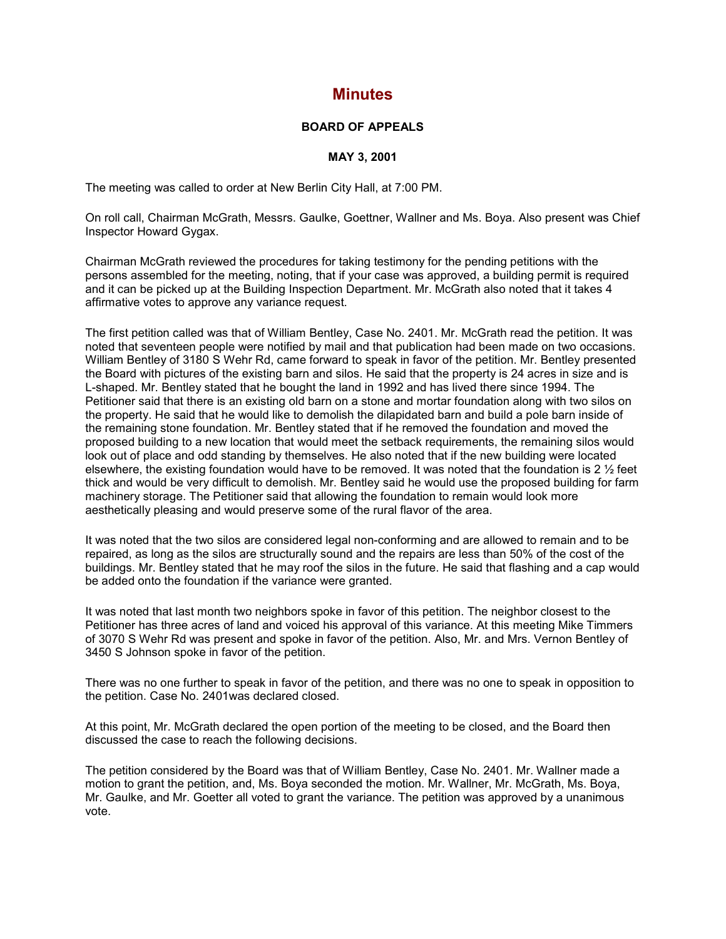## **Minutes**

## **BOARD OF APPEALS**

## **MAY 3, 2001**

The meeting was called to order at New Berlin City Hall, at 7:00 PM.

On roll call, Chairman McGrath, Messrs. Gaulke, Goettner, Wallner and Ms. Boya. Also present was Chief Inspector Howard Gygax.

Chairman McGrath reviewed the procedures for taking testimony for the pending petitions with the persons assembled for the meeting, noting, that if your case was approved, a building permit is required and it can be picked up at the Building Inspection Department. Mr. McGrath also noted that it takes 4 affirmative votes to approve any variance request.

The first petition called was that of William Bentley, Case No. 2401. Mr. McGrath read the petition. It was noted that seventeen people were notified by mail and that publication had been made on two occasions. William Bentley of 3180 S Wehr Rd, came forward to speak in favor of the petition. Mr. Bentley presented the Board with pictures of the existing barn and silos. He said that the property is 24 acres in size and is L-shaped. Mr. Bentley stated that he bought the land in 1992 and has lived there since 1994. The Petitioner said that there is an existing old barn on a stone and mortar foundation along with two silos on the property. He said that he would like to demolish the dilapidated barn and build a pole barn inside of the remaining stone foundation. Mr. Bentley stated that if he removed the foundation and moved the proposed building to a new location that would meet the setback requirements, the remaining silos would look out of place and odd standing by themselves. He also noted that if the new building were located elsewhere, the existing foundation would have to be removed. It was noted that the foundation is 2  $\frac{1}{2}$  feet thick and would be very difficult to demolish. Mr. Bentley said he would use the proposed building for farm machinery storage. The Petitioner said that allowing the foundation to remain would look more aesthetically pleasing and would preserve some of the rural flavor of the area.

It was noted that the two silos are considered legal non-conforming and are allowed to remain and to be repaired, as long as the silos are structurally sound and the repairs are less than 50% of the cost of the buildings. Mr. Bentley stated that he may roof the silos in the future. He said that flashing and a cap would be added onto the foundation if the variance were granted.

It was noted that last month two neighbors spoke in favor of this petition. The neighbor closest to the Petitioner has three acres of land and voiced his approval of this variance. At this meeting Mike Timmers of 3070 S Wehr Rd was present and spoke in favor of the petition. Also, Mr. and Mrs. Vernon Bentley of 3450 S Johnson spoke in favor of the petition.

There was no one further to speak in favor of the petition, and there was no one to speak in opposition to the petition. Case No. 2401was declared closed.

At this point, Mr. McGrath declared the open portion of the meeting to be closed, and the Board then discussed the case to reach the following decisions.

The petition considered by the Board was that of William Bentley, Case No. 2401. Mr. Wallner made a motion to grant the petition, and, Ms. Boya seconded the motion. Mr. Wallner, Mr. McGrath, Ms. Boya, Mr. Gaulke, and Mr. Goetter all voted to grant the variance. The petition was approved by a unanimous vote.